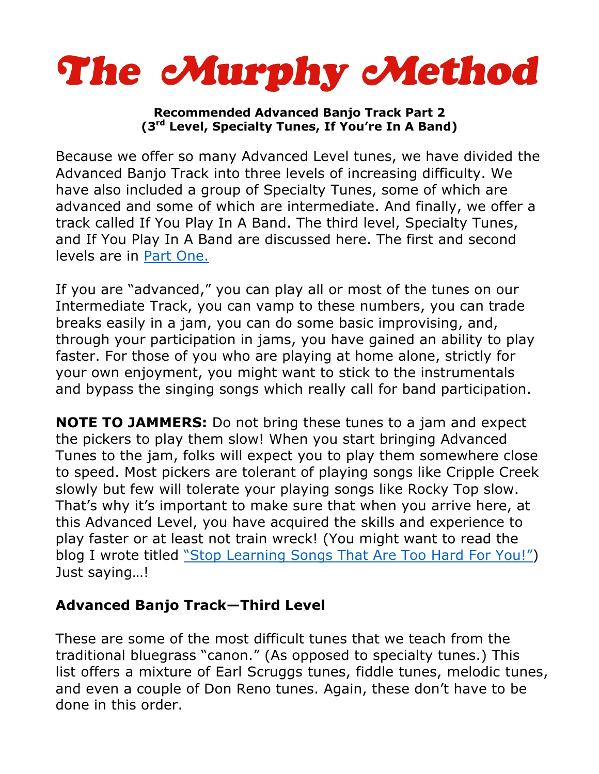

## **Recommended Advanced Banjo Track Part 2 (3rd Level, Specialty Tunes, If You're In A Band)**

Because we offer so many Advanced Level tunes, we have divided the Advanced Banjo Track into three levels of increasing difficulty. We have also included a group of Specialty Tunes, some of which are advanced and some of which are intermediate. And finally, we offer a track called If You Play In A Band. The third level, Specialty Tunes, and If You Play In A Band are discussed here. The first and second levels are in [Part One.](http://www.murphymethod.com/userfiles/file/AdvancedBanjoTrack1.pdf)

If you are "advanced," you can play all or most of the tunes on our Intermediate Track, you can vamp to these numbers, you can trade breaks easily in a jam, you can do some basic improvising, and, through your participation in jams, you have gained an ability to play faster. For those of you who are playing at home alone, strictly for your own enjoyment, you might want to stick to the instrumentals and bypass the singing songs which really call for band participation.

**NOTE TO JAMMERS:** Do not bring these tunes to a jam and expect the pickers to play them slow! When you start bringing Advanced Tunes to the jam, folks will expect you to play them somewhere close to speed. Most pickers are tolerant of playing songs like Cripple Creek slowly but few will tolerate your playing songs like Rocky Top slow. That's why it's important to make sure that when you arrive here, at this Advanced Level, you have acquired the skills and experience to play faster or at least not train wreck! (You might want to read the blog I wrote titled ["Stop Learning Songs That Are Too Hard For You!"\)](https://www.banjohangout.org/blog/33622) Just saying…!

## **Advanced Banjo Track—Third Level**

These are some of the most difficult tunes that we teach from the traditional bluegrass "canon." (As opposed to specialty tunes.) This list offers a mixture of Earl Scruggs tunes, fiddle tunes, melodic tunes, and even a couple of Don Reno tunes. Again, these don't have to be done in this order.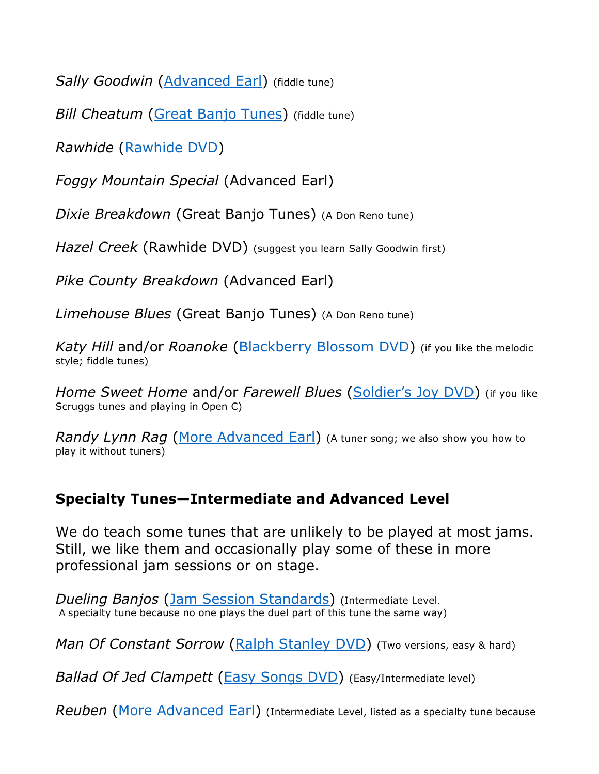*Sally Goodwin* [\(Advanced Earl\)](http://www.murphymethod.com/index.cfm?event=pages.product&pid=74) (fiddle tune)

*Bill Cheatum* [\(Great Banjo Tunes\)](http://www.murphymethod.com/index.cfm?event=pages.product&pid=7) (fiddle tune)

*Rawhide* [\(Rawhide DVD\)](http://www.murphymethod.com/index.cfm?event=pages.product&pid=15)

*Foggy Mountain Special* (Advanced Earl)

*Dixie Breakdown* (Great Banjo Tunes) (A Don Reno tune)

*Hazel Creek* (Rawhide DVD) (suggest you learn Sally Goodwin first)

*Pike County Breakdown* (Advanced Earl)

*Limehouse Blues* (Great Banjo Tunes) (A Don Reno tune)

*Katy Hill* and/or *Roanoke* [\(Blackberry Blossom DVD\)](http://www.murphymethod.com/index.cfm?event=pages.product&pid=17) (if you like the melodic style; fiddle tunes)

*Home Sweet Home* and/or *Farewell Blues* ([Soldier's Joy DVD\)](http://www.murphymethod.com/index.cfm?event=pages.product&pid=12) (if you like Scruggs tunes and playing in Open C)

*Randy Lynn Rag* [\(More Advanced Earl\)](http://www.murphymethod.com/index.cfm?event=pages.product&pid=5) (A tuner song; we also show you how to play it without tuners)

## **Specialty Tunes—Intermediate and Advanced Level**

We do teach some tunes that are unlikely to be played at most jams. Still, we like them and occasionally play some of these in more professional jam sessions or on stage.

*Dueling Banjos* (Jam Session [Standards\)](http://www.murphymethod.com/index.cfm?event=pages.product&pid=73) (Intermediate Level. A specialty tune because no one plays the duel part of this tune the same way)

*Man Of Constant Sorrow* [\(Ralph Stanley DVD\)](http://www.murphymethod.com/index.cfm?event=pages.product&pid=76) (Two versions, easy & hard)

*Ballad Of Jed Clampett* [\(Easy Songs DVD\)](http://www.murphymethod.com/index.cfm?event=pages.product&pid=141) (Easy/Intermediate level)

*Reuben* [\(More Advanced Earl\)](http://www.murphymethod.com/index.cfm?event=pages.product&pid=5) (Intermediate Level, listed as a specialty tune because